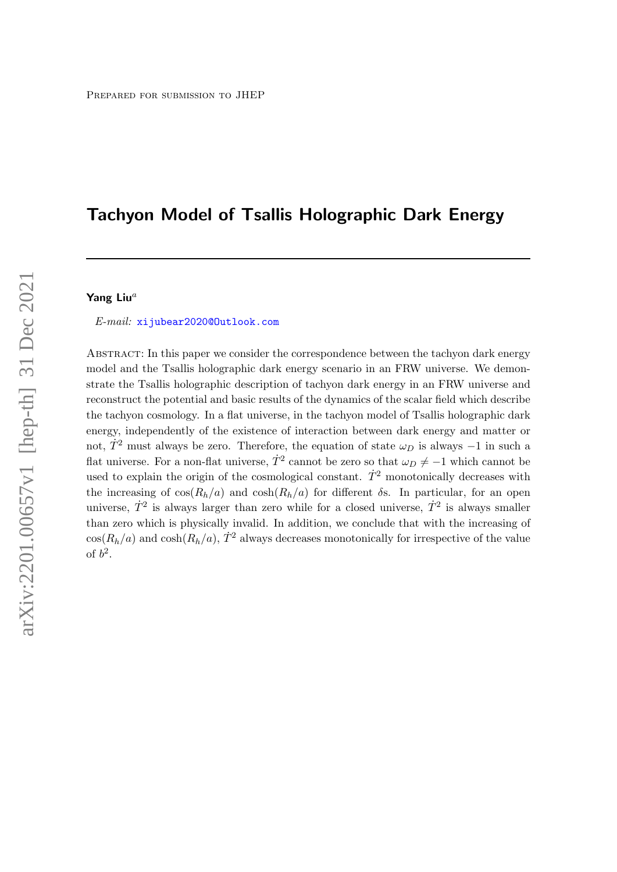# Tachyon Model of Tsallis Holographic Dark Energy

## Yang Liu $^a$

E-mail: [xijubear2020@Outlook.com](mailto:xijubear2020@Outlook.com)

ABSTRACT: In this paper we consider the correspondence between the tachyon dark energy model and the Tsallis holographic dark energy scenario in an FRW universe. We demonstrate the Tsallis holographic description of tachyon dark energy in an FRW universe and reconstruct the potential and basic results of the dynamics of the scalar field which describe the tachyon cosmology. In a flat universe, in the tachyon model of Tsallis holographic dark energy, independently of the existence of interaction between dark energy and matter or not,  $\dot{T}^2$  must always be zero. Therefore, the equation of state  $\omega_D$  is always −1 in such a flat universe. For a non-flat universe,  $\dot{T}^2$  cannot be zero so that  $\omega_D \neq -1$  which cannot be used to explain the origin of the cosmological constant.  $\dot{T}^2$  monotonically decreases with the increasing of  $\cos(R_h/a)$  and  $\cosh(R_h/a)$  for different  $\delta$ s. In particular, for an open universe,  $\dot{T}^2$  is always larger than zero while for a closed universe,  $\dot{T}^2$  is always smaller than zero which is physically invalid. In addition, we conclude that with the increasing of  $\cos(R_h/a)$  and  $\cosh(R_h/a)$ ,  $\dot{T}^2$  always decreases monotonically for irrespective of the value of  $b^2$ .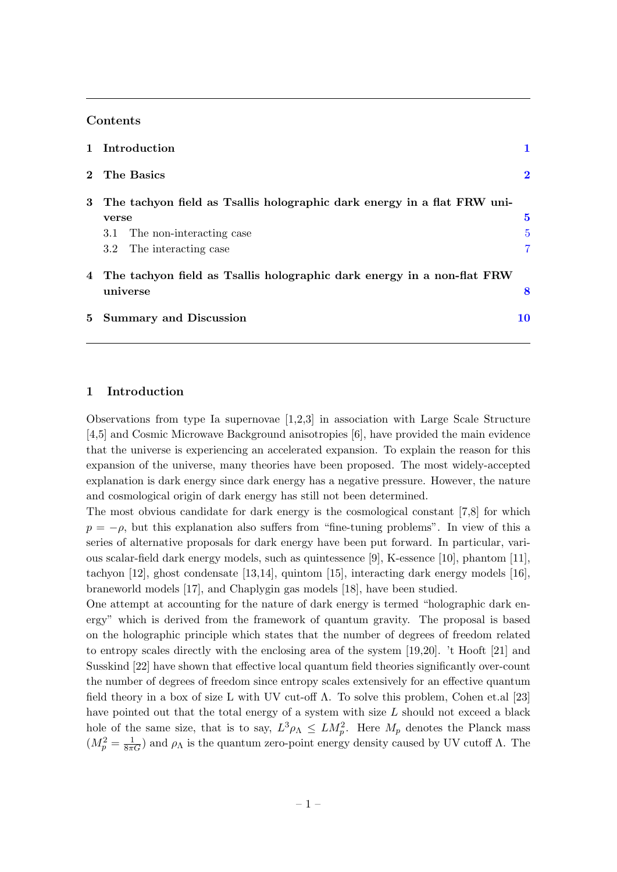## Contents

|                | 1 Introduction                                                           |          |
|----------------|--------------------------------------------------------------------------|----------|
|                | 2 The Basics                                                             | $\bf{2}$ |
| 3              | The tachyon field as Tsallis holographic dark energy in a flat FRW uni-  |          |
|                | verse                                                                    | $\bf{5}$ |
|                | 3.1 The non-interacting case                                             | 5        |
|                | 3.2 The interacting case                                                 | 7        |
|                | 4 The tachyon field as Tsallis holographic dark energy in a non-flat FRW |          |
|                | universe                                                                 | 8        |
| 5 <sup>5</sup> | <b>Summary and Discussion</b>                                            | 10       |

## <span id="page-1-0"></span>1 Introduction

Observations from type Ia supernovae [1,2,3] in association with Large Scale Structure [4,5] and Cosmic Microwave Background anisotropies [6], have provided the main evidence that the universe is experiencing an accelerated expansion. To explain the reason for this expansion of the universe, many theories have been proposed. The most widely-accepted explanation is dark energy since dark energy has a negative pressure. However, the nature and cosmological origin of dark energy has still not been determined.

The most obvious candidate for dark energy is the cosmological constant [7,8] for which  $p = -\rho$ , but this explanation also suffers from "fine-tuning problems". In view of this a series of alternative proposals for dark energy have been put forward. In particular, various scalar-field dark energy models, such as quintessence [9], K-essence [10], phantom [11], tachyon [12], ghost condensate [13,14], quintom [15], interacting dark energy models [16], braneworld models [17], and Chaplygin gas models [18], have been studied.

One attempt at accounting for the nature of dark energy is termed "holographic dark energy" which is derived from the framework of quantum gravity. The proposal is based on the holographic principle which states that the number of degrees of freedom related to entropy scales directly with the enclosing area of the system [19,20]. 't Hooft [21] and Susskind [22] have shown that effective local quantum field theories significantly over-count the number of degrees of freedom since entropy scales extensively for an effective quantum field theory in a box of size L with UV cut-off Λ. To solve this problem, Cohen et.al [23] have pointed out that the total energy of a system with size  $L$  should not exceed a black hole of the same size, that is to say,  $L^3 \rho_{\Lambda} \leq L M_p^2$ . Here  $M_p$  denotes the Planck mass  $(M_p^2 = \frac{1}{8\pi G})$  and  $\rho_{\Lambda}$  is the quantum zero-point energy density caused by UV cutoff  $\Lambda$ . The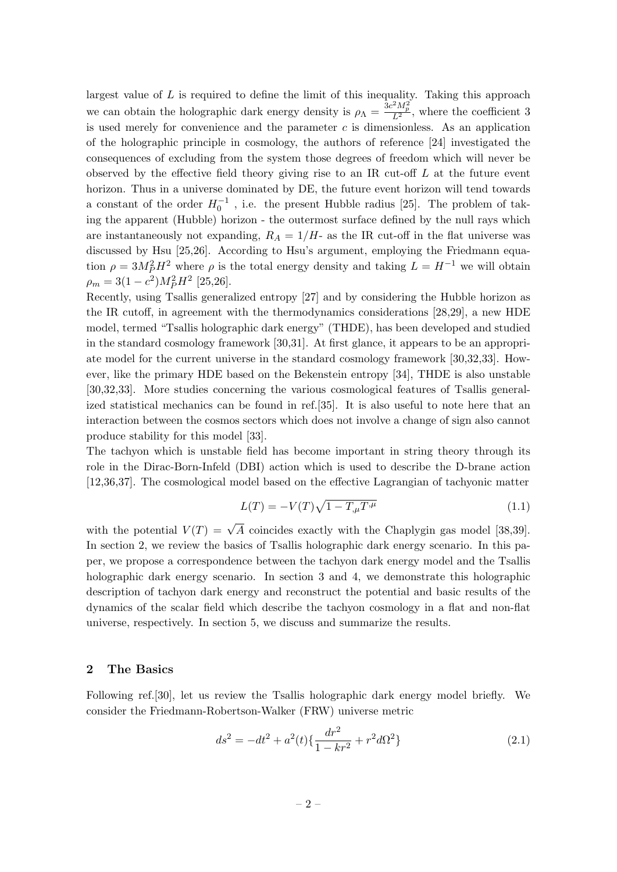largest value of  $L$  is required to define the limit of this inequality. Taking this approach we can obtain the holographic dark energy density is  $\rho_{\Lambda} = \frac{3c^2 M_p^2}{L^2}$ , where the coefficient 3 is used merely for convenience and the parameter  $c$  is dimensionless. As an application of the holographic principle in cosmology, the authors of reference [24] investigated the consequences of excluding from the system those degrees of freedom which will never be observed by the effective field theory giving rise to an IR cut-off  $L$  at the future event horizon. Thus in a universe dominated by DE, the future event horizon will tend towards a constant of the order  $H_0^{-1}$ , i.e. the present Hubble radius [25]. The problem of taking the apparent (Hubble) horizon - the outermost surface defined by the null rays which are instantaneously not expanding,  $R_A = 1/H$ - as the IR cut-off in the flat universe was discussed by Hsu [25,26]. According to Hsu's argument, employing the Friedmann equation  $\rho = 3M_P^2 H^2$  where  $\rho$  is the total energy density and taking  $L = H^{-1}$  we will obtain  $\rho_m = 3(1 - c^2)M_P^2 H^2$  [25,26].

Recently, using Tsallis generalized entropy [27] and by considering the Hubble horizon as the IR cutoff, in agreement with the thermodynamics considerations [28,29], a new HDE model, termed "Tsallis holographic dark energy" (THDE), has been developed and studied in the standard cosmology framework [30,31]. At first glance, it appears to be an appropriate model for the current universe in the standard cosmology framework [30,32,33]. However, like the primary HDE based on the Bekenstein entropy [34], THDE is also unstable [30,32,33]. More studies concerning the various cosmological features of Tsallis generalized statistical mechanics can be found in ref.[35]. It is also useful to note here that an interaction between the cosmos sectors which does not involve a change of sign also cannot produce stability for this model [33].

The tachyon which is unstable field has become important in string theory through its role in the Dirac-Born-Infeld (DBI) action which is used to describe the D-brane action [12,36,37]. The cosmological model based on the effective Lagrangian of tachyonic matter

$$
L(T) = -V(T)\sqrt{1 - T_{,\mu}T^{,\mu}}
$$
\n(1.1)

with the potential  $V(T) = \sqrt{A}$  coincides exactly with the Chaplygin gas model [38,39]. In section 2, we review the basics of Tsallis holographic dark energy scenario. In this paper, we propose a correspondence between the tachyon dark energy model and the Tsallis holographic dark energy scenario. In section 3 and 4, we demonstrate this holographic description of tachyon dark energy and reconstruct the potential and basic results of the dynamics of the scalar field which describe the tachyon cosmology in a flat and non-flat universe, respectively. In section 5, we discuss and summarize the results.

## <span id="page-2-0"></span>2 The Basics

Following ref.[30], let us review the Tsallis holographic dark energy model briefly. We consider the Friedmann-Robertson-Walker (FRW) universe metric

$$
ds^{2} = -dt^{2} + a^{2}(t)\left\{\frac{dr^{2}}{1 - kr^{2}} + r^{2}d\Omega^{2}\right\}
$$
 (2.1)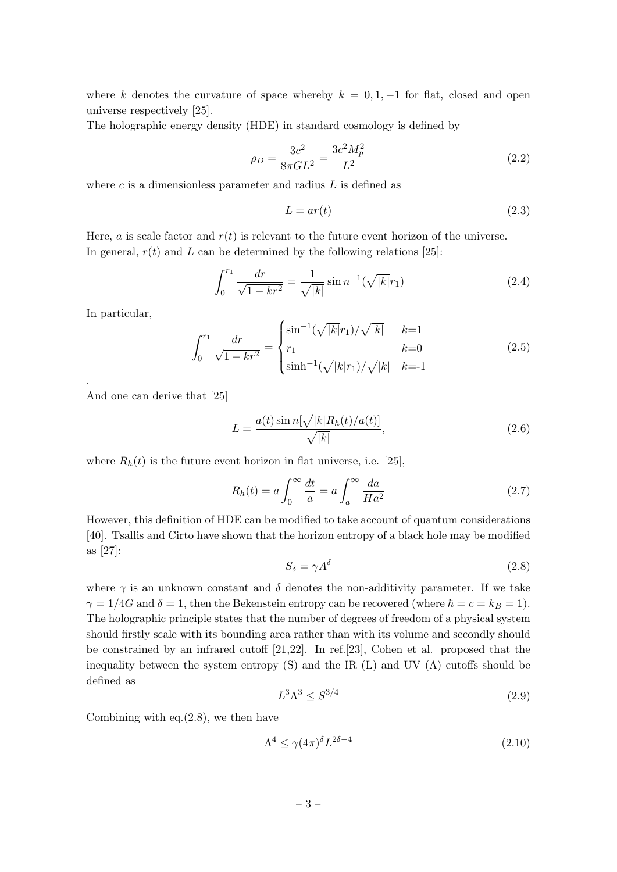where k denotes the curvature of space whereby  $k = 0, 1, -1$  for flat, closed and open universe respectively [25].

The holographic energy density (HDE) in standard cosmology is defined by

$$
\rho_D = \frac{3c^2}{8\pi G L^2} = \frac{3c^2 M_p^2}{L^2} \tag{2.2}
$$

where  $c$  is a dimensionless parameter and radius  $L$  is defined as

$$
L = ar(t) \tag{2.3}
$$

Here, *a* is scale factor and  $r(t)$  is relevant to the future event horizon of the universe. In general,  $r(t)$  and L can be determined by the following relations [25]:

$$
\int_0^{r_1} \frac{dr}{\sqrt{1 - kr^2}} = \frac{1}{\sqrt{|k|}} \sin n^{-1}(\sqrt{|k|}r_1)
$$
\n(2.4)

In particular,

.

$$
\int_0^{r_1} \frac{dr}{\sqrt{1 - kr^2}} = \begin{cases} \sin^{-1}(\sqrt{|k|}r_1)/\sqrt{|k|} & k=1\\ r_1 & k=0\\ \sinh^{-1}(\sqrt{|k|}r_1)/\sqrt{|k|} & k=1 \end{cases}
$$
(2.5)

And one can derive that [25]

$$
L = \frac{a(t)\sin n[\sqrt{|k|}R_h(t)/a(t)]}{\sqrt{|k|}},\tag{2.6}
$$

where  $R_h(t)$  is the future event horizon in flat universe, i.e. [25],

$$
R_h(t) = a \int_0^\infty \frac{dt}{a} = a \int_a^\infty \frac{da}{Ha^2}
$$
 (2.7)

However, this definition of HDE can be modified to take account of quantum considerations [40]. Tsallis and Cirto have shown that the horizon entropy of a black hole may be modified as [27]:

$$
S_{\delta} = \gamma A^{\delta} \tag{2.8}
$$

where  $\gamma$  is an unknown constant and  $\delta$  denotes the non-additivity parameter. If we take  $\gamma = 1/4G$  and  $\delta = 1$ , then the Bekenstein entropy can be recovered (where  $\hbar = c = k_B = 1$ ). The holographic principle states that the number of degrees of freedom of a physical system should firstly scale with its bounding area rather than with its volume and secondly should be constrained by an infrared cutoff [21,22]. In ref.[23], Cohen et al. proposed that the inequality between the system entropy (S) and the IR (L) and UV  $(\Lambda)$  cutoffs should be defined as

$$
L^3 \Lambda^3 \le S^{3/4} \tag{2.9}
$$

Combining with eq. $(2.8)$ , we then have

$$
\Lambda^4 \le \gamma (4\pi)^{\delta} L^{2\delta - 4} \tag{2.10}
$$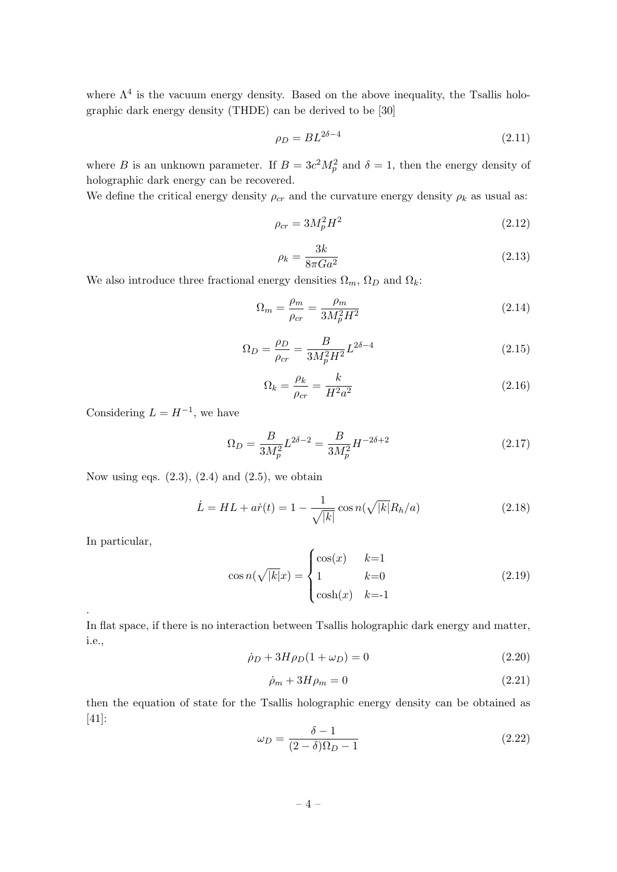where  $\Lambda^4$  is the vacuum energy density. Based on the above inequality, the Tsallis holographic dark energy density (THDE) can be derived to be [30]

$$
\rho_D = BL^{2\delta - 4} \tag{2.11}
$$

where B is an unknown parameter. If  $B = 3c^2 M_p^2$  and  $\delta = 1$ , then the energy density of holographic dark energy can be recovered.

We define the critical energy density  $\rho_{cr}$  and the curvature energy density  $\rho_k$  as usual as:

$$
\rho_{cr} = 3M_p^2 H^2 \tag{2.12}
$$

$$
\rho_k = \frac{3k}{8\pi G a^2} \tag{2.13}
$$

We also introduce three fractional energy densities  $\Omega_m$ ,  $\Omega_D$  and  $\Omega_k$ :

$$
\Omega_m = \frac{\rho_m}{\rho_{cr}} = \frac{\rho_m}{3M_p^2 H^2} \tag{2.14}
$$

$$
\Omega_D = \frac{\rho_D}{\rho_{cr}} = \frac{B}{3M_p^2 H^2} L^{2\delta - 4}
$$
\n(2.15)

$$
\Omega_k = \frac{\rho_k}{\rho_{cr}} = \frac{k}{H^2 a^2} \tag{2.16}
$$

Considering  $L = H^{-1}$ , we have

$$
\Omega_D = \frac{B}{3M_p^2} L^{2\delta - 2} = \frac{B}{3M_p^2} H^{-2\delta + 2}
$$
\n(2.17)

Now using eqs.  $(2.3)$ ,  $(2.4)$  and  $(2.5)$ , we obtain

$$
\dot{L} = HL + a\dot{r}(t) = 1 - \frac{1}{\sqrt{|k|}} \cos n(\sqrt{|k|}R_h/a)
$$
\n(2.18)

In particular,

.

$$
\cos n(\sqrt{|k|}x) = \begin{cases} \cos(x) & k=1\\ 1 & k=0\\ \cosh(x) & k=-1 \end{cases} \tag{2.19}
$$

In flat space, if there is no interaction between Tsallis holographic dark energy and matter, i.e.,

$$
\dot{\rho}_D + 3H\rho_D(1+\omega_D) = 0\tag{2.20}
$$

$$
\dot{\rho}_m + 3H\rho_m = 0\tag{2.21}
$$

then the equation of state for the Tsallis holographic energy density can be obtained as [41]:

$$
\omega_D = \frac{\delta - 1}{(2 - \delta)\Omega_D - 1} \tag{2.22}
$$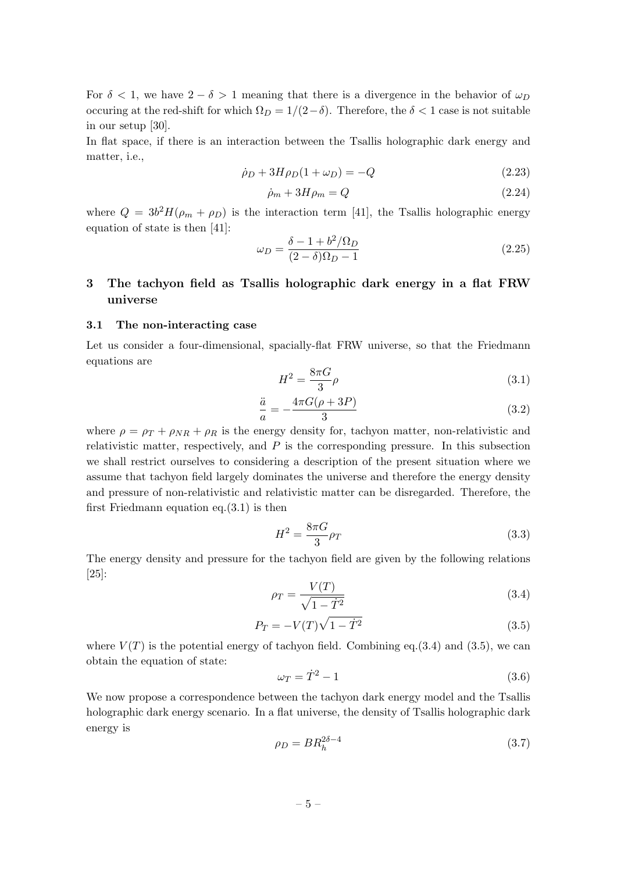For  $\delta < 1$ , we have  $2 - \delta > 1$  meaning that there is a divergence in the behavior of  $\omega_D$ occuring at the red-shift for which  $\Omega_D = 1/(2-\delta)$ . Therefore, the  $\delta < 1$  case is not suitable in our setup [30].

In flat space, if there is an interaction between the Tsallis holographic dark energy and matter, i.e.,

$$
\dot{\rho}_D + 3H\rho_D(1+\omega_D) = -Q\tag{2.23}
$$

$$
\dot{\rho}_m + 3H\rho_m = Q \tag{2.24}
$$

where  $Q = 3b^2 H(\rho_m + \rho_D)$  is the interaction term [41], the Tsallis holographic energy equation of state is then [41]:

$$
\omega_D = \frac{\delta - 1 + b^2 / \Omega_D}{(2 - \delta)\Omega_D - 1} \tag{2.25}
$$

# <span id="page-5-0"></span>3 The tachyon field as Tsallis holographic dark energy in a flat FRW universe

## <span id="page-5-1"></span>3.1 The non-interacting case

Let us consider a four-dimensional, spacially-flat FRW universe, so that the Friedmann equations are

$$
H^2 = \frac{8\pi G}{3}\rho\tag{3.1}
$$

$$
\frac{\ddot{a}}{a} = -\frac{4\pi G(\rho + 3P)}{3} \tag{3.2}
$$

where  $\rho = \rho_T + \rho_{NR} + \rho_R$  is the energy density for, tachyon matter, non-relativistic and relativistic matter, respectively, and  $P$  is the corresponding pressure. In this subsection we shall restrict ourselves to considering a description of the present situation where we assume that tachyon field largely dominates the universe and therefore the energy density and pressure of non-relativistic and relativistic matter can be disregarded. Therefore, the first Friedmann equation eq. $(3.1)$  is then

$$
H^2 = \frac{8\pi G}{3}\rho_T\tag{3.3}
$$

The energy density and pressure for the tachyon field are given by the following relations [25]:

$$
\rho_T = \frac{V(T)}{\sqrt{1 - \dot{T}^2}}\tag{3.4}
$$

$$
P_T = -V(T)\sqrt{1-\dot{T}^2} \tag{3.5}
$$

where  $V(T)$  is the potential energy of tachyon field. Combining eq.(3.4) and (3.5), we can obtain the equation of state:

$$
\omega_T = \dot{T}^2 - 1\tag{3.6}
$$

We now propose a correspondence between the tachyon dark energy model and the Tsallis holographic dark energy scenario. In a flat universe, the density of Tsallis holographic dark energy is

$$
\rho_D = BR_h^{2\delta - 4} \tag{3.7}
$$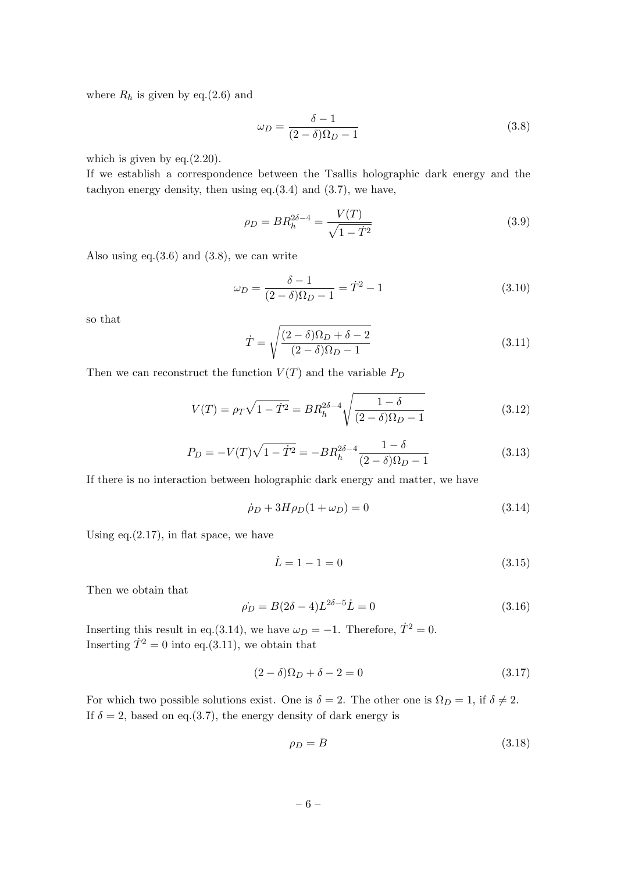where  $R_h$  is given by eq.(2.6) and

$$
\omega_D = \frac{\delta - 1}{(2 - \delta)\Omega_D - 1} \tag{3.8}
$$

which is given by eq. $(2.20)$ .

If we establish a correspondence between the Tsallis holographic dark energy and the tachyon energy density, then using eq.(3.4) and (3.7), we have,

$$
\rho_D = BR_h^{2\delta - 4} = \frac{V(T)}{\sqrt{1 - \dot{T}^2}}
$$
\n(3.9)

Also using eq. $(3.6)$  and  $(3.8)$ , we can write

$$
\omega_D = \frac{\delta - 1}{(2 - \delta)\Omega_D - 1} = \dot{T}^2 - 1\tag{3.10}
$$

so that

$$
\dot{T} = \sqrt{\frac{(2-\delta)\Omega_D + \delta - 2}{(2-\delta)\Omega_D - 1}}\tag{3.11}
$$

Then we can reconstruct the function  $V(T)$  and the variable  $P_D$ 

$$
V(T) = \rho_T \sqrt{1 - \dot{T}^2} = BR_h^{2\delta - 4} \sqrt{\frac{1 - \delta}{(2 - \delta)\Omega_D - 1}}
$$
(3.12)

$$
P_D = -V(T)\sqrt{1 - \dot{T}^2} = -BR_h^{2\delta - 4} \frac{1 - \delta}{(2 - \delta)\Omega_D - 1}
$$
\n(3.13)

If there is no interaction between holographic dark energy and matter, we have

$$
\dot{\rho}_D + 3H\rho_D(1 + \omega_D) = 0 \tag{3.14}
$$

Using  $eq.(2.17)$ , in flat space, we have

$$
\dot{L} = 1 - 1 = 0 \tag{3.15}
$$

Then we obtain that

$$
\dot{\rho_D} = B(2\delta - 4)L^{2\delta - 5}\dot{L} = 0\tag{3.16}
$$

Inserting this result in eq.(3.14), we have  $\omega_D = -1$ . Therefore,  $\dot{T}^2 = 0$ . Inserting  $\overrightarrow{T}^2 = 0$  into eq.(3.11), we obtain that

$$
(2 - \delta)\Omega_D + \delta - 2 = 0\tag{3.17}
$$

For which two possible solutions exist. One is  $\delta = 2$ . The other one is  $\Omega_D = 1$ , if  $\delta \neq 2$ . If  $\delta = 2$ , based on eq.(3.7), the energy density of dark energy is

$$
\rho_D = B \tag{3.18}
$$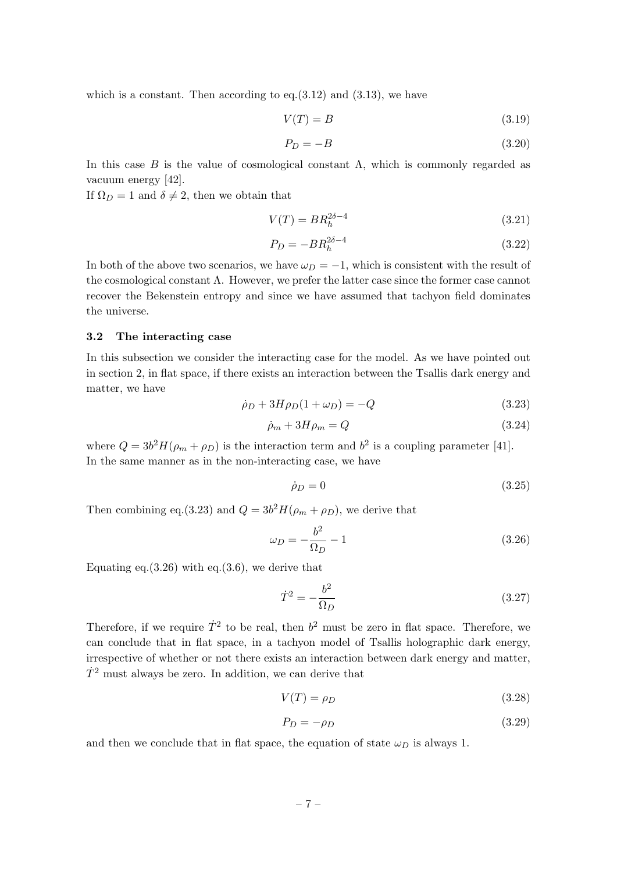which is a constant. Then according to eq. $(3.12)$  and  $(3.13)$ , we have

$$
V(T) = B \tag{3.19}
$$

$$
P_D = -B \tag{3.20}
$$

In this case B is the value of cosmological constant  $\Lambda$ , which is commonly regarded as vacuum energy [42].

If  $\Omega_D = 1$  and  $\delta \neq 2$ , then we obtain that

$$
V(T) = BR_h^{2\delta - 4}
$$
\n(3.21)

$$
P_D = -BR_h^{2\delta - 4} \tag{3.22}
$$

In both of the above two scenarios, we have  $\omega_D = -1$ , which is consistent with the result of the cosmological constant Λ. However, we prefer the latter case since the former case cannot recover the Bekenstein entropy and since we have assumed that tachyon field dominates the universe.

### <span id="page-7-0"></span>3.2 The interacting case

In this subsection we consider the interacting case for the model. As we have pointed out in section 2, in flat space, if there exists an interaction between the Tsallis dark energy and matter, we have

$$
\dot{\rho}_D + 3H\rho_D(1 + \omega_D) = -Q\tag{3.23}
$$

$$
\dot{\rho}_m + 3H\rho_m = Q \tag{3.24}
$$

where  $Q = 3b^2 H(\rho_m + \rho_D)$  is the interaction term and  $b^2$  is a coupling parameter [41]. In the same manner as in the non-interacting case, we have

$$
\dot{\rho}_D = 0 \tag{3.25}
$$

Then combining eq.(3.23) and  $Q = 3b^2 H(\rho_m + \rho_D)$ , we derive that

$$
\omega_D = -\frac{b^2}{\Omega_D} - 1\tag{3.26}
$$

Equating eq. $(3.26)$  with eq. $(3.6)$ , we derive that

$$
\dot{T}^2 = -\frac{b^2}{\Omega_D} \tag{3.27}
$$

Therefore, if we require  $\dot{T}^2$  to be real, then  $b^2$  must be zero in flat space. Therefore, we can conclude that in flat space, in a tachyon model of Tsallis holographic dark energy, irrespective of whether or not there exists an interaction between dark energy and matter,  $\dot{T}^2$  must always be zero. In addition, we can derive that

$$
V(T) = \rho_D \tag{3.28}
$$

$$
P_D = -\rho_D \tag{3.29}
$$

and then we conclude that in flat space, the equation of state  $\omega_D$  is always 1.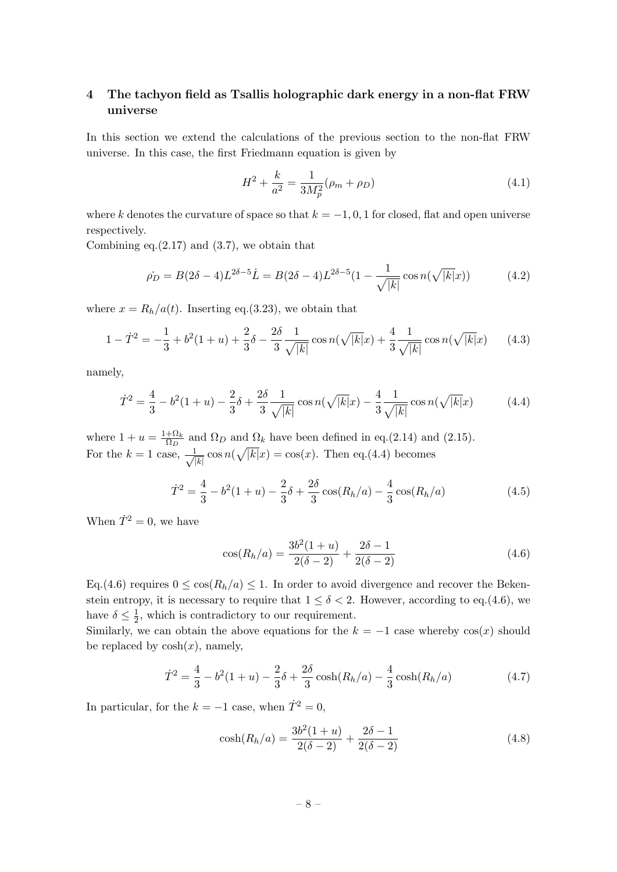# <span id="page-8-0"></span>4 The tachyon field as Tsallis holographic dark energy in a non-flat FRW universe

In this section we extend the calculations of the previous section to the non-flat FRW universe. In this case, the first Friedmann equation is given by

$$
H^2 + \frac{k}{a^2} = \frac{1}{3M_p^2}(\rho_m + \rho_D) \tag{4.1}
$$

where k denotes the curvature of space so that  $k = -1, 0, 1$  for closed, flat and open universe respectively.

Combining eq. $(2.17)$  and  $(3.7)$ , we obtain that

$$
\dot{\rho_D} = B(2\delta - 4)L^{2\delta - 5}\dot{L} = B(2\delta - 4)L^{2\delta - 5}(1 - \frac{1}{\sqrt{|k|}}\cos n(\sqrt{|k|}x))\tag{4.2}
$$

where  $x = R_h/a(t)$ . Inserting eq.(3.23), we obtain that

$$
1 - \dot{T}^2 = -\frac{1}{3} + b^2(1+u) + \frac{2}{3}\delta - \frac{2\delta}{3} \frac{1}{\sqrt{|k|}} \cos n(\sqrt{|k|}x) + \frac{4}{3} \frac{1}{\sqrt{|k|}} \cos n(\sqrt{|k|}x) \tag{4.3}
$$

namely,

$$
\dot{T}^2 = \frac{4}{3} - b^2(1+u) - \frac{2}{3}\delta + \frac{2\delta}{3} \frac{1}{\sqrt{|k|}} \cos n(\sqrt{|k|}x) - \frac{4}{3} \frac{1}{\sqrt{|k|}} \cos n(\sqrt{|k|}x) \tag{4.4}
$$

where  $1 + u = \frac{1 + \Omega_k}{\Omega_k}$  $rac{+1}{\Omega_D}$  and  $\Omega_D$  and  $\Omega_k$  have been defined in eq.(2.14) and (2.15). For the  $k=1$  case,  $\frac{1}{\sqrt{2}}$  $\frac{1}{|k|} \cos n(\sqrt{|k|}x) = \cos(x)$ . Then eq.(4.4) becomes

$$
\dot{T}^2 = \frac{4}{3} - b^2(1+u) - \frac{2}{3}\delta + \frac{2\delta}{3}\cos(R_h/a) - \frac{4}{3}\cos(R_h/a)
$$
(4.5)

When  $\dot{T}^2 = 0$ , we have

$$
\cos(R_h/a) = \frac{3b^2(1+u)}{2(\delta-2)} + \frac{2\delta-1}{2(\delta-2)}
$$
\n(4.6)

Eq.(4.6) requires  $0 \leq \cos(R_h/a) \leq 1$ . In order to avoid divergence and recover the Bekenstein entropy, it is necessary to require that  $1 \leq \delta < 2$ . However, according to eq.(4.6), we have  $\delta \leq \frac{1}{2}$  $\frac{1}{2}$ , which is contradictory to our requirement.

Similarly, we can obtain the above equations for the  $k = -1$  case whereby  $cos(x)$  should be replaced by  $cosh(x)$ , namely,

$$
\dot{T}^2 = \frac{4}{3} - b^2(1+u) - \frac{2}{3}\delta + \frac{2\delta}{3}\cosh(R_h/a) - \frac{4}{3}\cosh(R_h/a)
$$
(4.7)

In particular, for the  $k = -1$  case, when  $\dot{T}^2 = 0$ ,

$$
\cosh(R_h/a) = \frac{3b^2(1+u)}{2(\delta-2)} + \frac{2\delta-1}{2(\delta-2)}
$$
\n(4.8)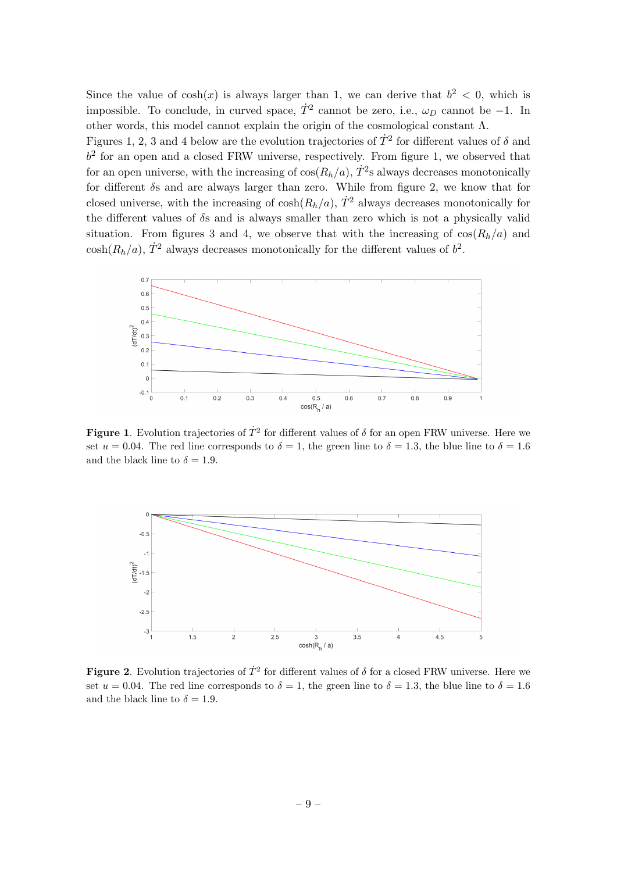Since the value of  $cosh(x)$  is always larger than 1, we can derive that  $b^2 < 0$ , which is impossible. To conclude, in curved space,  $\dot{T}^2$  cannot be zero, i.e.,  $\omega_D$  cannot be -1. In other words, this model cannot explain the origin of the cosmological constant Λ.

Figures 1, 2, 3 and 4 below are the evolution trajectories of  $\dot{T}^2$  for different values of  $\delta$  and  $b<sup>2</sup>$  for an open and a closed FRW universe, respectively. From figure 1, we observed that for an open universe, with the increasing of  $cos(R_h/a)$ ,  $\dot{T}^2$ s always decreases monotonically for different  $\delta s$  and are always larger than zero. While from figure 2, we know that for closed universe, with the increasing of  $cosh(R_h/a)$ ,  $\dot{T}^2$  always decreases monotonically for the different values of  $\delta s$  and is always smaller than zero which is not a physically valid situation. From figures 3 and 4, we observe that with the increasing of  $\cos(R_h/a)$  and  $\cosh(R_h/a), \dot{T}^2$  always decreases monotonically for the different values of  $b^2$ .



Figure 1. Evolution trajectories of  $\dot{T}^2$  for different values of  $\delta$  for an open FRW universe. Here we set  $u = 0.04$ . The red line corresponds to  $\delta = 1$ , the green line to  $\delta = 1.3$ , the blue line to  $\delta = 1.6$ and the black line to  $\delta = 1.9$ .



**Figure 2**. Evolution trajectories of  $\dot{T}^2$  for different values of  $\delta$  for a closed FRW universe. Here we set  $u = 0.04$ . The red line corresponds to  $\delta = 1$ , the green line to  $\delta = 1.3$ , the blue line to  $\delta = 1.6$ and the black line to  $\delta = 1.9$ .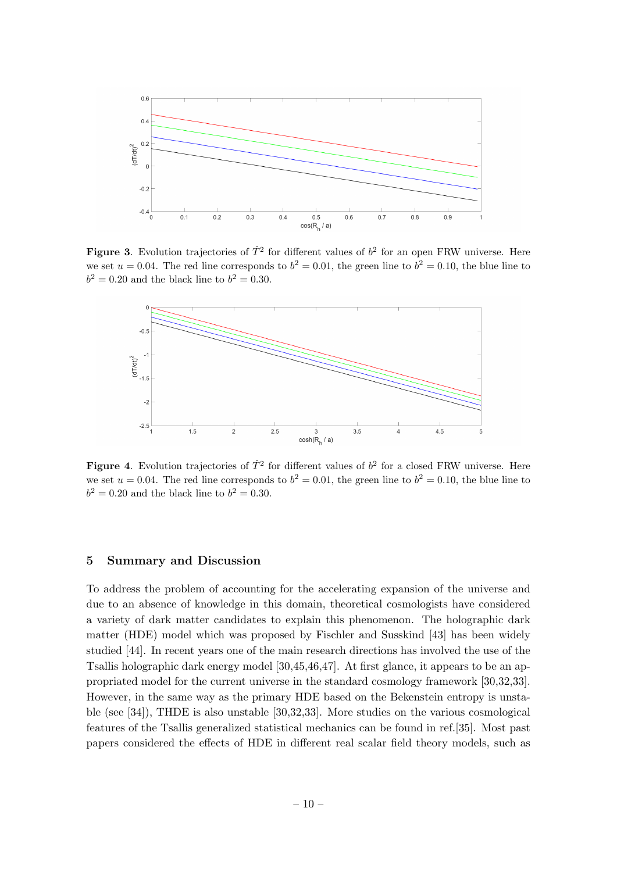

Figure 3. Evolution trajectories of  $\dot{T}^2$  for different values of  $b^2$  for an open FRW universe. Here we set  $u = 0.04$ . The red line corresponds to  $b^2 = 0.01$ , the green line to  $b^2 = 0.10$ , the blue line to  $b^2 = 0.20$  and the black line to  $b^2 = 0.30$ .



**Figure 4.** Evolution trajectories of  $\dot{T}^2$  for different values of  $b^2$  for a closed FRW universe. Here we set  $u = 0.04$ . The red line corresponds to  $b^2 = 0.01$ , the green line to  $b^2 = 0.10$ , the blue line to  $b^2 = 0.20$  and the black line to  $b^2 = 0.30$ .

# <span id="page-10-0"></span>5 Summary and Discussion

To address the problem of accounting for the accelerating expansion of the universe and due to an absence of knowledge in this domain, theoretical cosmologists have considered a variety of dark matter candidates to explain this phenomenon. The holographic dark matter (HDE) model which was proposed by Fischler and Susskind [43] has been widely studied [44]. In recent years one of the main research directions has involved the use of the Tsallis holographic dark energy model [30,45,46,47]. At first glance, it appears to be an appropriated model for the current universe in the standard cosmology framework [30,32,33]. However, in the same way as the primary HDE based on the Bekenstein entropy is unstable (see [34]), THDE is also unstable [30,32,33]. More studies on the various cosmological features of the Tsallis generalized statistical mechanics can be found in ref.[35]. Most past papers considered the effects of HDE in different real scalar field theory models, such as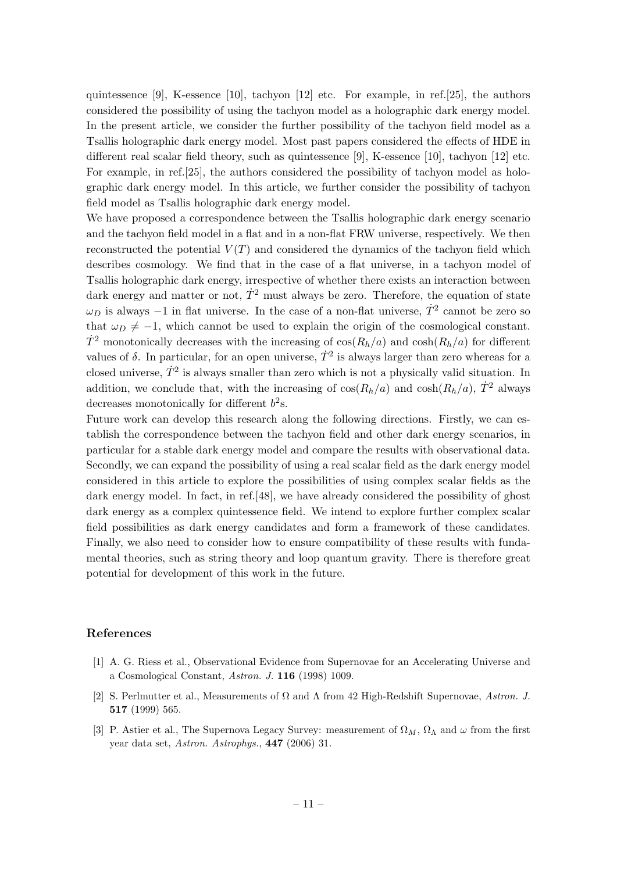quintessence [9], K-essence [10], tachyon [12] etc. For example, in ref.[25], the authors considered the possibility of using the tachyon model as a holographic dark energy model. In the present article, we consider the further possibility of the tachyon field model as a Tsallis holographic dark energy model. Most past papers considered the effects of HDE in different real scalar field theory, such as quintessence [9], K-essence [10], tachyon [12] etc. For example, in ref.[25], the authors considered the possibility of tachyon model as holographic dark energy model. In this article, we further consider the possibility of tachyon field model as Tsallis holographic dark energy model.

We have proposed a correspondence between the Tsallis holographic dark energy scenario and the tachyon field model in a flat and in a non-flat FRW universe, respectively. We then reconstructed the potential  $V(T)$  and considered the dynamics of the tachyon field which describes cosmology. We find that in the case of a flat universe, in a tachyon model of Tsallis holographic dark energy, irrespective of whether there exists an interaction between dark energy and matter or not,  $\dot{T}^2$  must always be zero. Therefore, the equation of state  $\omega_D$  is always  $-1$  in flat universe. In the case of a non-flat universe,  $\dot{T}^2$  cannot be zero so that  $\omega_D \neq -1$ , which cannot be used to explain the origin of the cosmological constant.  $\dot{T}^2$  monotonically decreases with the increasing of  $\cos(R_h/a)$  and  $\cosh(R_h/a)$  for different values of  $\delta$ . In particular, for an open universe,  $\dot{T}^2$  is always larger than zero whereas for a closed universe,  $\dot{T}^2$  is always smaller than zero which is not a physically valid situation. In addition, we conclude that, with the increasing of  $\cos(R_h/a)$  and  $\cosh(R_h/a)$ ,  $\dot{T}^2$  always decreases monotonically for different  $b<sup>2</sup>$ s.

Future work can develop this research along the following directions. Firstly, we can establish the correspondence between the tachyon field and other dark energy scenarios, in particular for a stable dark energy model and compare the results with observational data. Secondly, we can expand the possibility of using a real scalar field as the dark energy model considered in this article to explore the possibilities of using complex scalar fields as the dark energy model. In fact, in ref.[48], we have already considered the possibility of ghost dark energy as a complex quintessence field. We intend to explore further complex scalar field possibilities as dark energy candidates and form a framework of these candidates. Finally, we also need to consider how to ensure compatibility of these results with fundamental theories, such as string theory and loop quantum gravity. There is therefore great potential for development of this work in the future.

#### References

- [1] A. G. Riess et al., Observational Evidence from Supernovae for an Accelerating Universe and a Cosmological Constant, Astron. J. 116 (1998) 1009.
- [2] S. Perlmutter et al., Measurements of  $\Omega$  and  $\Lambda$  from 42 High-Redshift Supernovae, Astron. J. 517 (1999) 565.
- [3] P. Astier et al., The Supernova Legacy Survey: measurement of  $\Omega_M$ ,  $\Omega_{\Lambda}$  and  $\omega$  from the first year data set, Astron. Astrophys., 447 (2006) 31.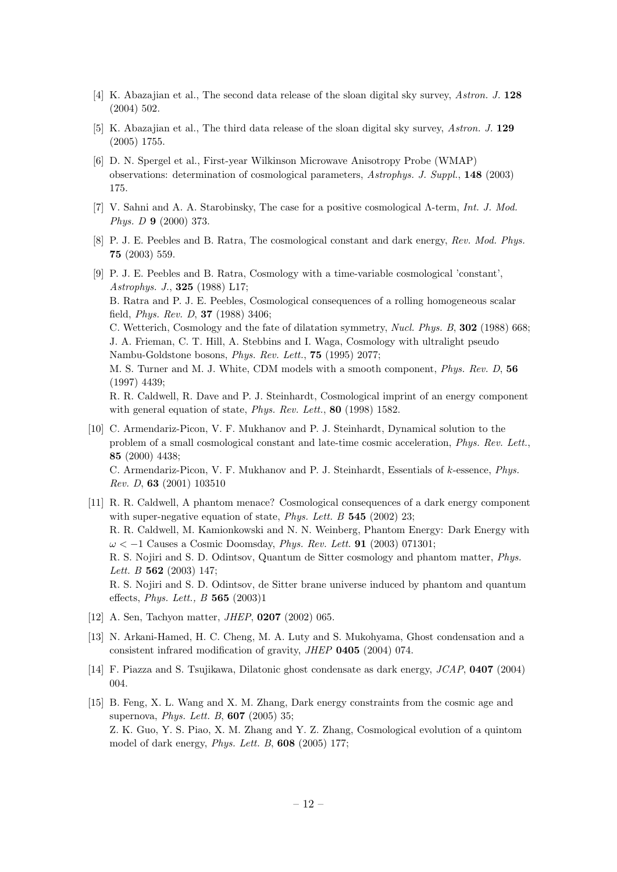- [4] K. Abazajian et al., The second data release of the sloan digital sky survey, Astron. J. 128 (2004) 502.
- [5] K. Abazajian et al., The third data release of the sloan digital sky survey, Astron. J. 129 (2005) 1755.
- [6] D. N. Spergel et al., First-year Wilkinson Microwave Anisotropy Probe (WMAP) observations: determination of cosmological parameters, Astrophys. J. Suppl., 148 (2003) 175.
- [7] V. Sahni and A. A. Starobinsky, The case for a positive cosmological  $\Lambda$ -term, Int. J. Mod. Phys. D 9 (2000) 373.
- [8] P. J. E. Peebles and B. Ratra, The cosmological constant and dark energy, Rev. Mod. Phys. 75 (2003) 559.
- [9] P. J. E. Peebles and B. Ratra, Cosmology with a time-variable cosmological 'constant', Astrophys. J., 325 (1988) L17; B. Ratra and P. J. E. Peebles, Cosmological consequences of a rolling homogeneous scalar field, Phys. Rev. D, 37 (1988) 3406; C. Wetterich, Cosmology and the fate of dilatation symmetry, Nucl. Phys. B, 302 (1988) 668; J. A. Frieman, C. T. Hill, A. Stebbins and I. Waga, Cosmology with ultralight pseudo Nambu-Goldstone bosons, Phys. Rev. Lett., 75 (1995) 2077; M. S. Turner and M. J. White, CDM models with a smooth component, Phys. Rev. D, 56 (1997) 4439; R. R. Caldwell, R. Dave and P. J. Steinhardt, Cosmological imprint of an energy component with general equation of state, *Phys. Rev. Lett.*, **80** (1998) 1582.
- [10] C. Armendariz-Picon, V. F. Mukhanov and P. J. Steinhardt, Dynamical solution to the problem of a small cosmological constant and late-time cosmic acceleration, Phys. Rev. Lett., 85 (2000) 4438; C. Armendariz-Picon, V. F. Mukhanov and P. J. Steinhardt, Essentials of k-essence, Phys. Rev. D, 63 (2001) 103510
- [11] R. R. Caldwell, A phantom menace? Cosmological consequences of a dark energy component with super-negative equation of state, *Phys. Lett. B* 545 (2002) 23; R. R. Caldwell, M. Kamionkowski and N. N. Weinberg, Phantom Energy: Dark Energy with  $\omega < -1$  Causes a Cosmic Doomsday, *Phys. Rev. Lett.* **91** (2003) 071301; R. S. Nojiri and S. D. Odintsov, Quantum de Sitter cosmology and phantom matter, Phys. Lett. B 562 (2003) 147; R. S. Nojiri and S. D. Odintsov, de Sitter brane universe induced by phantom and quantum effects, Phys. Lett., B 565 (2003)1
- [12] A. Sen, Tachyon matter, JHEP, 0207 (2002) 065.
- [13] N. Arkani-Hamed, H. C. Cheng, M. A. Luty and S. Mukohyama, Ghost condensation and a consistent infrared modification of gravity, JHEP 0405 (2004) 074.
- [14] F. Piazza and S. Tsujikawa, Dilatonic ghost condensate as dark energy, JCAP, 0407 (2004) 004.
- [15] B. Feng, X. L. Wang and X. M. Zhang, Dark energy constraints from the cosmic age and supernova, Phys. Lett. B, 607 (2005) 35; Z. K. Guo, Y. S. Piao, X. M. Zhang and Y. Z. Zhang, Cosmological evolution of a quintom model of dark energy, Phys. Lett. B, 608 (2005) 177;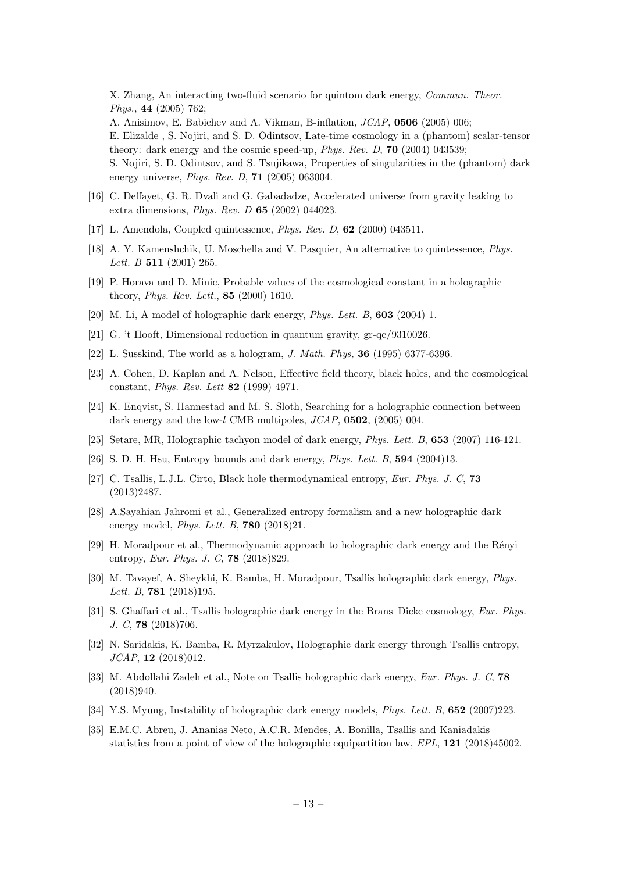X. Zhang, An interacting two-fluid scenario for quintom dark energy, Commun. Theor. Phys., 44 (2005) 762;

A. Anisimov, E. Babichev and A. Vikman, B-inflation, JCAP, 0506 (2005) 006; E. Elizalde , S. Nojiri, and S. D. Odintsov, Late-time cosmology in a (phantom) scalar-tensor theory: dark energy and the cosmic speed-up, Phys. Rev. D, 70 (2004) 043539;

S. Nojiri, S. D. Odintsov, and S. Tsujikawa, Properties of singularities in the (phantom) dark energy universe, Phys. Rev. D, 71 (2005) 063004.

- [16] C. Deffayet, G. R. Dvali and G. Gabadadze, Accelerated universe from gravity leaking to extra dimensions, Phys. Rev. D 65 (2002) 044023.
- [17] L. Amendola, Coupled quintessence, Phys. Rev. D, 62 (2000) 043511.
- [18] A. Y. Kamenshchik, U. Moschella and V. Pasquier, An alternative to quintessence, Phys. Lett. B **511** (2001) 265.
- [19] P. Horava and D. Minic, Probable values of the cosmological constant in a holographic theory, Phys. Rev. Lett., 85 (2000) 1610.
- [20] M. Li, A model of holographic dark energy, *Phys. Lett. B*, **603** (2004) 1.
- [21] G. 't Hooft, Dimensional reduction in quantum gravity, gr-qc/9310026.
- [22] L. Susskind, The world as a hologram, J. Math. Phys, 36 (1995) 6377-6396.
- [23] A. Cohen, D. Kaplan and A. Nelson, Effective field theory, black holes, and the cosmological constant, Phys. Rev. Lett 82 (1999) 4971.
- [24] K. Enqvist, S. Hannestad and M. S. Sloth, Searching for a holographic connection between dark energy and the low-l CMB multipoles,  $JCAP$ , **0502**, (2005) 004.
- [25] Setare, MR, Holographic tachyon model of dark energy, Phys. Lett. B, 653 (2007) 116-121.
- [26] S. D. H. Hsu, Entropy bounds and dark energy, Phys. Lett. B, 594 (2004)13.
- [27] C. Tsallis, L.J.L. Cirto, Black hole thermodynamical entropy, Eur. Phys. J. C, 73 (2013)2487.
- [28] A.Sayahian Jahromi et al., Generalized entropy formalism and a new holographic dark energy model, Phys. Lett. B, 780 (2018)21.
- [29] H. Moradpour et al., Thermodynamic approach to holographic dark energy and the Rényi entropy, Eur. Phys. J. C, 78 (2018)829.
- [30] M. Tavayef, A. Sheykhi, K. Bamba, H. Moradpour, Tsallis holographic dark energy, Phys. Lett. B, **781** (2018)195.
- [31] S. Ghaffari et al., Tsallis holographic dark energy in the Brans–Dicke cosmology, Eur. Phys. J. C, 78 (2018)706.
- [32] N. Saridakis, K. Bamba, R. Myrzakulov, Holographic dark energy through Tsallis entropy, JCAP, 12 (2018)012.
- [33] M. Abdollahi Zadeh et al., Note on Tsallis holographic dark energy, Eur. Phys. J. C, 78 (2018)940.
- [34] Y.S. Myung, Instability of holographic dark energy models, *Phys. Lett. B*, **652** (2007)223.
- [35] E.M.C. Abreu, J. Ananias Neto, A.C.R. Mendes, A. Bonilla, Tsallis and Kaniadakis statistics from a point of view of the holographic equipartition law, EPL, 121 (2018)45002.